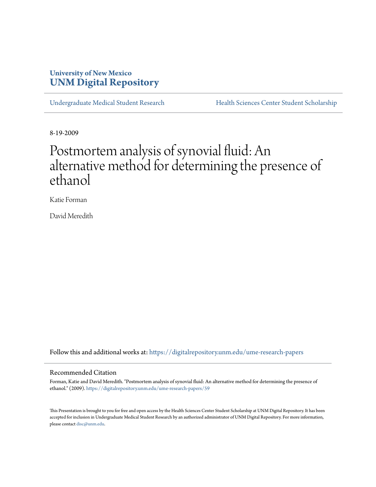# **University of New Mexico [UNM Digital Repository](https://digitalrepository.unm.edu?utm_source=digitalrepository.unm.edu%2Fume-research-papers%2F59&utm_medium=PDF&utm_campaign=PDFCoverPages)**

[Undergraduate Medical Student Research](https://digitalrepository.unm.edu/ume-research-papers?utm_source=digitalrepository.unm.edu%2Fume-research-papers%2F59&utm_medium=PDF&utm_campaign=PDFCoverPages) [Health Sciences Center Student Scholarship](https://digitalrepository.unm.edu/hsc-students?utm_source=digitalrepository.unm.edu%2Fume-research-papers%2F59&utm_medium=PDF&utm_campaign=PDFCoverPages)

8-19-2009

# Postmortem analysis of synovial fluid: An alternative method for determining the presence of ethanol

Katie Forman

David Meredith

Follow this and additional works at: [https://digitalrepository.unm.edu/ume-research-papers](https://digitalrepository.unm.edu/ume-research-papers?utm_source=digitalrepository.unm.edu%2Fume-research-papers%2F59&utm_medium=PDF&utm_campaign=PDFCoverPages)

### Recommended Citation

Forman, Katie and David Meredith. "Postmortem analysis of synovial fluid: An alternative method for determining the presence of ethanol." (2009). [https://digitalrepository.unm.edu/ume-research-papers/59](https://digitalrepository.unm.edu/ume-research-papers/59?utm_source=digitalrepository.unm.edu%2Fume-research-papers%2F59&utm_medium=PDF&utm_campaign=PDFCoverPages)

This Presentation is brought to you for free and open access by the Health Sciences Center Student Scholarship at UNM Digital Repository. It has been accepted for inclusion in Undergraduate Medical Student Research by an authorized administrator of UNM Digital Repository. For more information, please contact [disc@unm.edu.](mailto:disc@unm.edu)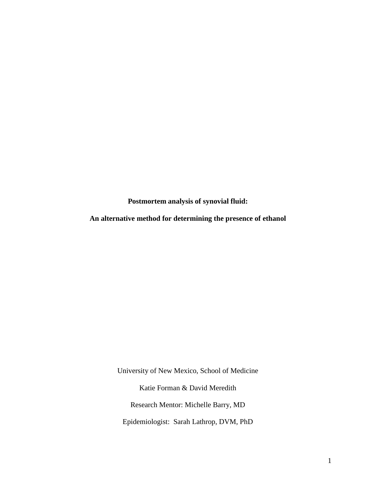**Postmortem analysis of synovial fluid:**

**An alternative method for determining the presence of ethanol**

University of New Mexico, School of Medicine Katie Forman & David Meredith Research Mentor: Michelle Barry, MD Epidemiologist: Sarah Lathrop, DVM, PhD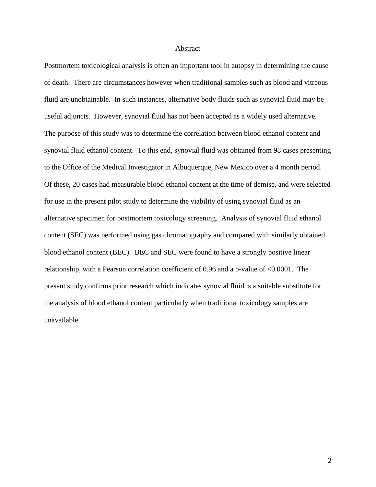#### Abstract

Postmortem toxicological analysis is often an important tool in autopsy in determining the cause of death. There are circumstances however when traditional samples such as blood and vitreous fluid are unobtainable. In such instances, alternative body fluids such as synovial fluid may be useful adjuncts. However, synovial fluid has not been accepted as a widely used alternative. The purpose of this study was to determine the correlation between blood ethanol content and synovial fluid ethanol content. To this end, synovial fluid was obtained from 98 cases presenting to the Office of the Medical Investigator in Albuquerque, New Mexico over a 4 month period. Of these, 20 cases had measurable blood ethanol content at the time of demise, and were selected for use in the present pilot study to determine the viability of using synovial fluid as an alternative specimen for postmortem toxicology screening. Analysis of synovial fluid ethanol content (SEC) was performed using gas chromatography and compared with similarly obtained blood ethanol content (BEC). BEC and SEC were found to have a strongly positive linear relationship, with a Pearson correlation coefficient of 0.96 and a p-value of <0.0001. The present study confirms prior research which indicates synovial fluid is a suitable substitute for the analysis of blood ethanol content particularly when traditional toxicology samples are unavailable.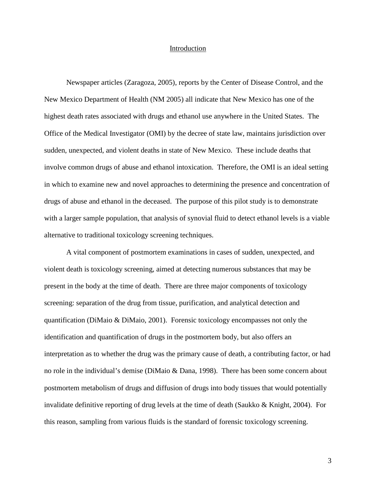#### Introduction

Newspaper articles (Zaragoza, 2005), reports by the Center of Disease Control, and the New Mexico Department of Health (NM 2005) all indicate that New Mexico has one of the highest death rates associated with drugs and ethanol use anywhere in the United States. The Office of the Medical Investigator (OMI) by the decree of state law, maintains jurisdiction over sudden, unexpected, and violent deaths in state of New Mexico. These include deaths that involve common drugs of abuse and ethanol intoxication. Therefore, the OMI is an ideal setting in which to examine new and novel approaches to determining the presence and concentration of drugs of abuse and ethanol in the deceased. The purpose of this pilot study is to demonstrate with a larger sample population, that analysis of synovial fluid to detect ethanol levels is a viable alternative to traditional toxicology screening techniques.

A vital component of postmortem examinations in cases of sudden, unexpected, and violent death is toxicology screening, aimed at detecting numerous substances that may be present in the body at the time of death. There are three major components of toxicology screening: separation of the drug from tissue, purification, and analytical detection and quantification (DiMaio & DiMaio, 2001). Forensic toxicology encompasses not only the identification and quantification of drugs in the postmortem body, but also offers an interpretation as to whether the drug was the primary cause of death, a contributing factor, or had no role in the individual's demise (DiMaio & Dana, 1998). There has been some concern about postmortem metabolism of drugs and diffusion of drugs into body tissues that would potentially invalidate definitive reporting of drug levels at the time of death (Saukko & Knight, 2004). For this reason, sampling from various fluids is the standard of forensic toxicology screening.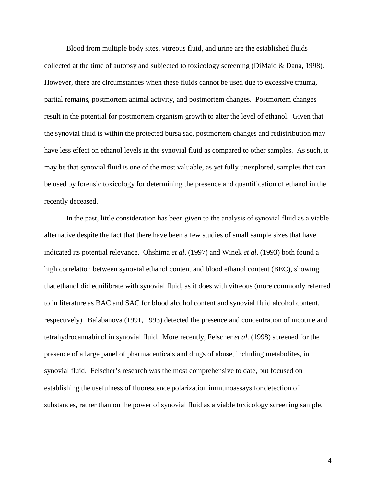Blood from multiple body sites, vitreous fluid, and urine are the established fluids collected at the time of autopsy and subjected to toxicology screening (DiMaio & Dana, 1998). However, there are circumstances when these fluids cannot be used due to excessive trauma, partial remains, postmortem animal activity, and postmortem changes. Postmortem changes result in the potential for postmortem organism growth to alter the level of ethanol. Given that the synovial fluid is within the protected bursa sac, postmortem changes and redistribution may have less effect on ethanol levels in the synovial fluid as compared to other samples. As such, it may be that synovial fluid is one of the most valuable, as yet fully unexplored, samples that can be used by forensic toxicology for determining the presence and quantification of ethanol in the recently deceased.

In the past, little consideration has been given to the analysis of synovial fluid as a viable alternative despite the fact that there have been a few studies of small sample sizes that have indicated its potential relevance. Ohshima *et al*. (1997) and Winek *et al*. (1993) both found a high correlation between synovial ethanol content and blood ethanol content (BEC), showing that ethanol did equilibrate with synovial fluid, as it does with vitreous (more commonly referred to in literature as BAC and SAC for blood alcohol content and synovial fluid alcohol content, respectively). Balabanova (1991, 1993) detected the presence and concentration of nicotine and tetrahydrocannabinol in synovial fluid. More recently, Felscher *et al*. (1998) screened for the presence of a large panel of pharmaceuticals and drugs of abuse, including metabolites, in synovial fluid. Felscher's research was the most comprehensive to date, but focused on establishing the usefulness of fluorescence polarization immunoassays for detection of substances, rather than on the power of synovial fluid as a viable toxicology screening sample.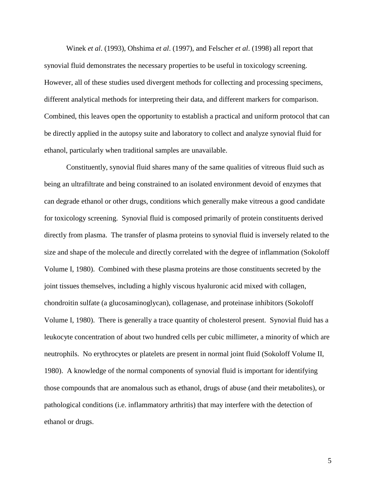Winek *et al*. (1993), Ohshima *et al*. (1997), and Felscher *et al*. (1998) all report that synovial fluid demonstrates the necessary properties to be useful in toxicology screening. However, all of these studies used divergent methods for collecting and processing specimens, different analytical methods for interpreting their data, and different markers for comparison. Combined, this leaves open the opportunity to establish a practical and uniform protocol that can be directly applied in the autopsy suite and laboratory to collect and analyze synovial fluid for ethanol, particularly when traditional samples are unavailable.

Constituently, synovial fluid shares many of the same qualities of vitreous fluid such as being an ultrafiltrate and being constrained to an isolated environment devoid of enzymes that can degrade ethanol or other drugs, conditions which generally make vitreous a good candidate for toxicology screening. Synovial fluid is composed primarily of protein constituents derived directly from plasma. The transfer of plasma proteins to synovial fluid is inversely related to the size and shape of the molecule and directly correlated with the degree of inflammation (Sokoloff Volume I, 1980). Combined with these plasma proteins are those constituents secreted by the joint tissues themselves, including a highly viscous hyaluronic acid mixed with collagen, chondroitin sulfate (a glucosaminoglycan), collagenase, and proteinase inhibitors (Sokoloff Volume I, 1980). There is generally a trace quantity of cholesterol present. Synovial fluid has a leukocyte concentration of about two hundred cells per cubic millimeter, a minority of which are neutrophils. No erythrocytes or platelets are present in normal joint fluid (Sokoloff Volume II, 1980). A knowledge of the normal components of synovial fluid is important for identifying those compounds that are anomalous such as ethanol, drugs of abuse (and their metabolites), or pathological conditions (i.e. inflammatory arthritis) that may interfere with the detection of ethanol or drugs.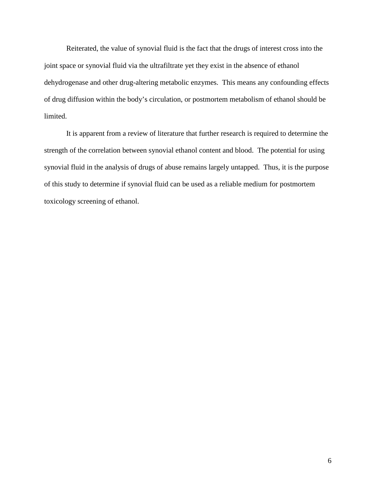Reiterated, the value of synovial fluid is the fact that the drugs of interest cross into the joint space or synovial fluid via the ultrafiltrate yet they exist in the absence of ethanol dehydrogenase and other drug-altering metabolic enzymes. This means any confounding effects of drug diffusion within the body's circulation, or postmortem metabolism of ethanol should be limited.

It is apparent from a review of literature that further research is required to determine the strength of the correlation between synovial ethanol content and blood. The potential for using synovial fluid in the analysis of drugs of abuse remains largely untapped. Thus, it is the purpose of this study to determine if synovial fluid can be used as a reliable medium for postmortem toxicology screening of ethanol.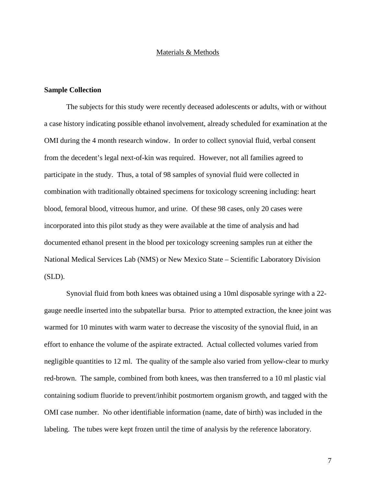### Materials & Methods

# **Sample Collection**

The subjects for this study were recently deceased adolescents or adults, with or without a case history indicating possible ethanol involvement, already scheduled for examination at the OMI during the 4 month research window. In order to collect synovial fluid, verbal consent from the decedent's legal next-of-kin was required. However, not all families agreed to participate in the study. Thus, a total of 98 samples of synovial fluid were collected in combination with traditionally obtained specimens for toxicology screening including: heart blood, femoral blood, vitreous humor, and urine. Of these 98 cases, only 20 cases were incorporated into this pilot study as they were available at the time of analysis and had documented ethanol present in the blood per toxicology screening samples run at either the National Medical Services Lab (NMS) or New Mexico State – Scientific Laboratory Division (SLD).

Synovial fluid from both knees was obtained using a 10ml disposable syringe with a 22 gauge needle inserted into the subpatellar bursa. Prior to attempted extraction, the knee joint was warmed for 10 minutes with warm water to decrease the viscosity of the synovial fluid, in an effort to enhance the volume of the aspirate extracted. Actual collected volumes varied from negligible quantities to 12 ml. The quality of the sample also varied from yellow-clear to murky red-brown. The sample, combined from both knees, was then transferred to a 10 ml plastic vial containing sodium fluoride to prevent/inhibit postmortem organism growth, and tagged with the OMI case number. No other identifiable information (name, date of birth) was included in the labeling. The tubes were kept frozen until the time of analysis by the reference laboratory.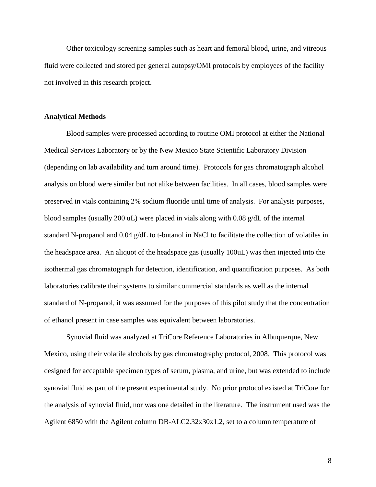Other toxicology screening samples such as heart and femoral blood, urine, and vitreous fluid were collected and stored per general autopsy/OMI protocols by employees of the facility not involved in this research project.

# **Analytical Methods**

Blood samples were processed according to routine OMI protocol at either the National Medical Services Laboratory or by the New Mexico State Scientific Laboratory Division (depending on lab availability and turn around time). Protocols for gas chromatograph alcohol analysis on blood were similar but not alike between facilities. In all cases, blood samples were preserved in vials containing 2% sodium fluoride until time of analysis. For analysis purposes, blood samples (usually 200 uL) were placed in vials along with 0.08 g/dL of the internal standard N-propanol and 0.04 g/dL to t-butanol in NaCl to facilitate the collection of volatiles in the headspace area. An aliquot of the headspace gas (usually 100uL) was then injected into the isothermal gas chromatograph for detection, identification, and quantification purposes. As both laboratories calibrate their systems to similar commercial standards as well as the internal standard of N-propanol, it was assumed for the purposes of this pilot study that the concentration of ethanol present in case samples was equivalent between laboratories.

Synovial fluid was analyzed at TriCore Reference Laboratories in Albuquerque, New Mexico, using their volatile alcohols by gas chromatography protocol, 2008. This protocol was designed for acceptable specimen types of serum, plasma, and urine, but was extended to include synovial fluid as part of the present experimental study. No prior protocol existed at TriCore for the analysis of synovial fluid, nor was one detailed in the literature. The instrument used was the Agilent 6850 with the Agilent column DB-ALC2.32x30x1.2, set to a column temperature of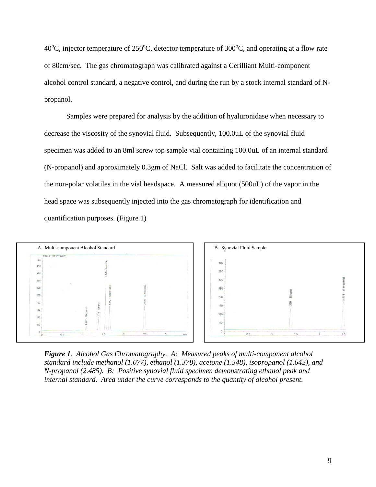40<sup>o</sup>C, injector temperature of 250<sup>o</sup>C, detector temperature of 300<sup>o</sup>C, and operating at a flow rate of 80cm/sec. The gas chromatograph was calibrated against a Cerilliant Multi-component alcohol control standard, a negative control, and during the run by a stock internal standard of Npropanol.

Samples were prepared for analysis by the addition of hyaluronidase when necessary to decrease the viscosity of the synovial fluid. Subsequently, 100.0uL of the synovial fluid specimen was added to an 8ml screw top sample vial containing 100.0uL of an internal standard (N-propanol) and approximately 0.3gm of NaCl. Salt was added to facilitate the concentration of the non-polar volatiles in the vial headspace. A measured aliquot (500uL) of the vapor in the head space was subsequently injected into the gas chromatograph for identification and quantification purposes. (Figure 1)



*Figure 1. Alcohol Gas Chromatography. A: Measured peaks of multi-component alcohol standard include methanol (1.077), ethanol (1.378), acetone (1.548), isopropanol (1.642), and N-propanol (2.485). B: Positive synovial fluid specimen demonstrating ethanol peak and internal standard. Area under the curve corresponds to the quantity of alcohol present.*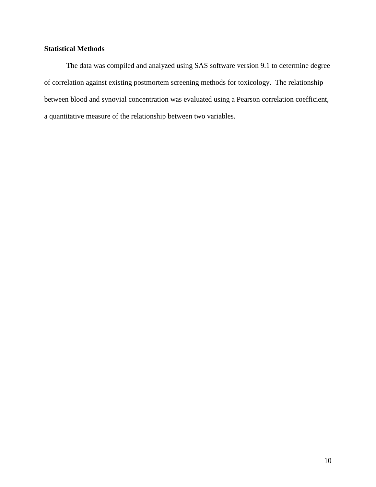# **Statistical Methods**

The data was compiled and analyzed using SAS software version 9.1 to determine degree of correlation against existing postmortem screening methods for toxicology. The relationship between blood and synovial concentration was evaluated using a Pearson correlation coefficient, a quantitative measure of the relationship between two variables.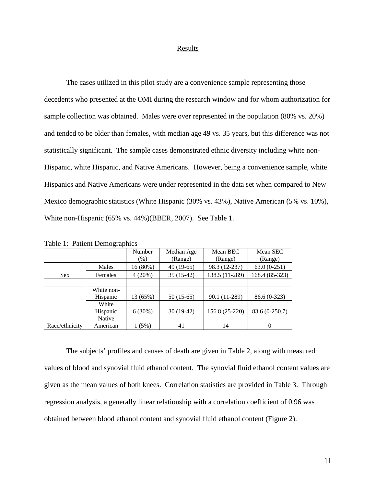#### Results

The cases utilized in this pilot study are a convenience sample representing those decedents who presented at the OMI during the research window and for whom authorization for sample collection was obtained. Males were over represented in the population (80% vs. 20%) and tended to be older than females, with median age 49 vs. 35 years, but this difference was not statistically significant. The sample cases demonstrated ethnic diversity including white non-Hispanic, white Hispanic, and Native Americans. However, being a convenience sample, white Hispanics and Native Americans were under represented in the data set when compared to New Mexico demographic statistics (White Hispanic (30% vs. 43%), Native American (5% vs. 10%), White non-Hispanic (65% vs. 44%)(BBER, 2007). See Table 1.

|                | - 7 - 1 - 1 |          |             |                |                |
|----------------|-------------|----------|-------------|----------------|----------------|
|                |             | Number   | Median Age  | Mean BEC       | Mean SEC       |
|                |             | $(\%)$   | (Range)     | (Range)        | (Range)        |
|                | Males       | 16 (80%) | 49 (19-65)  | 98.3 (12-237)  | $63.0(0-251)$  |
| <b>Sex</b>     | Females     | 4(20%)   | $35(15-42)$ | 138.5 (11-289) | 168.4 (85-323) |
|                |             |          |             |                |                |
|                | White non-  |          |             |                |                |
|                | Hispanic    | 13 (65%) | $50(15-65)$ | 90.1 (11-289)  | $86.6(0-323)$  |
|                | White       |          |             |                |                |
|                | Hispanic    | 6(30%)   | $30(19-42)$ | 156.8 (25-220) | 83.6 (0-250.7) |
|                | Native      |          |             |                |                |
| Race/ethnicity | American    | 1 (5%)   | 41          | 14             | $\theta$       |

Table 1: Patient Demographics

The subjects' profiles and causes of death are given in Table 2, along with measured values of blood and synovial fluid ethanol content. The synovial fluid ethanol content values are given as the mean values of both knees. Correlation statistics are provided in Table 3. Through regression analysis, a generally linear relationship with a correlation coefficient of 0.96 was obtained between blood ethanol content and synovial fluid ethanol content (Figure 2).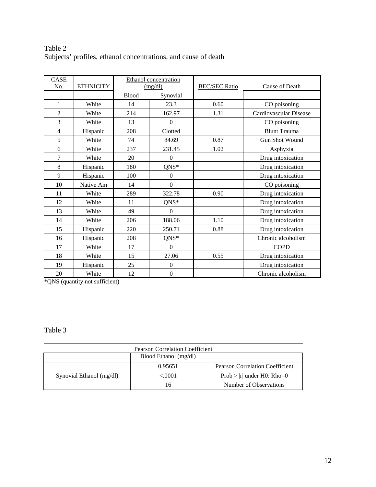# Table 2 Subjects' profiles, ethanol concentrations, and cause of death

| <b>CASE</b>    |                  | <b>Ethanol</b> concentration |                  |                      |                        |
|----------------|------------------|------------------------------|------------------|----------------------|------------------------|
| No.            | <b>ETHNICITY</b> | (mg/dl)                      |                  | <b>BEC/SEC Ratio</b> | Cause of Death         |
|                |                  | <b>Blood</b>                 | Synovial         |                      |                        |
| 1              | White            | 14                           | 23.3             | 0.60                 | CO poisoning           |
| $\overline{2}$ | White            | 214                          | 162.97           | 1.31                 | Cardiovascular Disease |
| 3              | White            | 13                           | $\boldsymbol{0}$ |                      | CO poisoning           |
| 4              | Hispanic         | 208                          | Clotted          |                      | <b>Blunt Trauma</b>    |
| 5              | White            | 74                           | 84.69            | 0.87                 | Gun Shot Wound         |
| 6              | White            | 237                          | 231.45           | 1.02                 | Asphyxia               |
| 7              | White            | 20                           | $\boldsymbol{0}$ |                      | Drug intoxication      |
| 8              | Hispanic         | 180                          | $QNS*$           |                      | Drug intoxication      |
| 9              | Hispanic         | 100                          | $\boldsymbol{0}$ |                      | Drug intoxication      |
| 10             | Native Am        | 14                           | $\mathbf{0}$     |                      | CO poisoning           |
| 11             | White            | 289                          | 322.78           | 0.90                 | Drug intoxication      |
| 12             | White            | 11                           | $QNS*$           |                      | Drug intoxication      |
| 13             | White            | 49                           | $\mathbf{0}$     |                      | Drug intoxication      |
| 14             | White            | 206                          | 188.06           | 1.10                 | Drug intoxication      |
| 15             | Hispanic         | 220                          | 250.71           | 0.88                 | Drug intoxication      |
| 16             | Hispanic         | 208                          | $QNS*$           |                      | Chronic alcoholism     |
| 17             | White            | 17                           | $\boldsymbol{0}$ |                      | <b>COPD</b>            |
| 18             | White            | 15                           | 27.06            | 0.55                 | Drug intoxication      |
| 19             | Hispanic         | 25                           | $\boldsymbol{0}$ |                      | Drug intoxication      |
| 20             | White            | 12                           | $\boldsymbol{0}$ |                      | Chronic alcoholism     |

\*QNS (quantity not sufficient)

Table 3

| <b>Pearson Correlation Coefficient</b> |                       |                                        |  |  |
|----------------------------------------|-----------------------|----------------------------------------|--|--|
|                                        | Blood Ethanol (mg/dl) |                                        |  |  |
|                                        | 0.95651               | <b>Pearson Correlation Coefficient</b> |  |  |
| Synovial Ethanol (mg/dl)               | ${<}0001$             | Prob >  r  under H0: Rho=0             |  |  |
|                                        | 16                    | Number of Observations                 |  |  |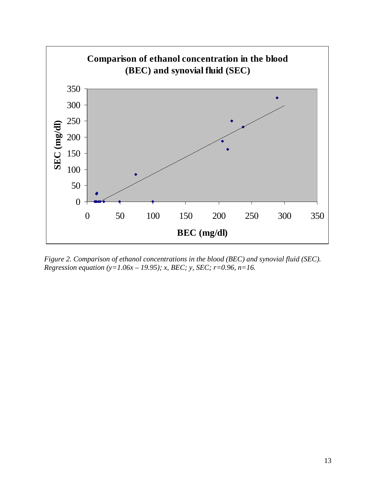

*Figure 2. Comparison of ethanol concentrations in the blood (BEC) and synovial fluid (SEC). Regression equation (y=1.06x – 19.95); x, BEC; y, SEC; r=0.96, n=16.*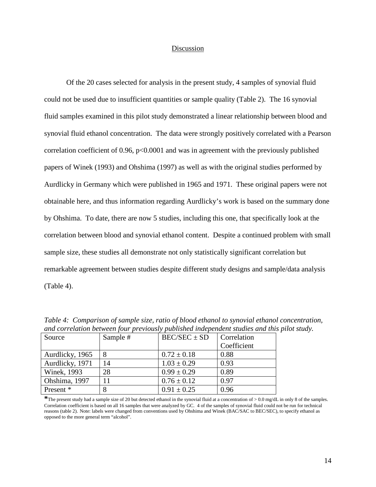## Discussion

Of the 20 cases selected for analysis in the present study, 4 samples of synovial fluid could not be used due to insufficient quantities or sample quality (Table 2). The 16 synovial fluid samples examined in this pilot study demonstrated a linear relationship between blood and synovial fluid ethanol concentration. The data were strongly positively correlated with a Pearson correlation coefficient of 0.96,  $p<0.0001$  and was in agreement with the previously published papers of Winek (1993) and Ohshima (1997) as well as with the original studies performed by Aurdlicky in Germany which were published in 1965 and 1971. These original papers were not obtainable here, and thus information regarding Aurdlicky's work is based on the summary done by Ohshima. To date, there are now 5 studies, including this one, that specifically look at the correlation between blood and synovial ethanol content. Despite a continued problem with small sample size, these studies all demonstrate not only statistically significant correlation but remarkable agreement between studies despite different study designs and sample/data analysis (Table 4).

| ana correnanon ocenteen join previously puonsnea maepenaeni simanos ana mi |          |                  |             |  |  |
|----------------------------------------------------------------------------|----------|------------------|-------------|--|--|
| Source                                                                     | Sample # | $BEC/SEC \pm SD$ | Correlation |  |  |
|                                                                            |          |                  | Coefficient |  |  |
| Aurdlicky, 1965                                                            | 8        | $0.72 \pm 0.18$  | 0.88        |  |  |
| Aurdlicky, 1971                                                            | 14       | $1.03 \pm 0.29$  | 0.93        |  |  |
| <b>Winek, 1993</b>                                                         | 28       | $0.99 \pm 0.29$  | 0.89        |  |  |
| Ohshima, 1997                                                              | 11       | $0.76 \pm 0.12$  | 0.97        |  |  |
| Present *                                                                  | 8        | $0.91 \pm 0.25$  | 0.96        |  |  |

*Table 4: Comparison of sample size, ratio of blood ethanol to synovial ethanol concentration, and correlation between four previously published independent studies and this pilot study.* 

**\***The present study had a sample size of 20 but detected ethanol in the synovial fluid at a concentration of > 0.0 mg/dL in only 8 of the samples. Correlation coefficient is based on all 16 samples that were analyzed by GC. 4 of the samples of synovial fluid could not be run for technical reasons (table 2). Note: labels were changed from conventions used by Ohshima and Winek (BAC/SAC to BEC/SEC), to specify ethanol as opposed to the more general term "alcohol".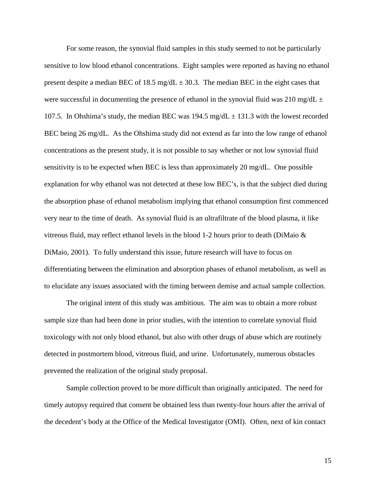For some reason, the synovial fluid samples in this study seemed to not be particularly sensitive to low blood ethanol concentrations. Eight samples were reported as having no ethanol present despite a median BEC of 18.5 mg/dL  $\pm$  30.3. The median BEC in the eight cases that were successful in documenting the presence of ethanol in the synovial fluid was 210 mg/dL  $\pm$ 107.5. In Ohshima's study, the median BEC was  $194.5 \text{ mg/dL} \pm 131.3$  with the lowest recorded BEC being 26 mg/dL. As the Ohshima study did not extend as far into the low range of ethanol concentrations as the present study, it is not possible to say whether or not low synovial fluid sensitivity is to be expected when BEC is less than approximately 20 mg/dL. One possible explanation for why ethanol was not detected at these low BEC's, is that the subject died during the absorption phase of ethanol metabolism implying that ethanol consumption first commenced very near to the time of death. As synovial fluid is an ultrafiltrate of the blood plasma, it like vitreous fluid, may reflect ethanol levels in the blood 1-2 hours prior to death (DiMaio  $\&$ DiMaio, 2001). To fully understand this issue, future research will have to focus on differentiating between the elimination and absorption phases of ethanol metabolism, as well as to elucidate any issues associated with the timing between demise and actual sample collection.

The original intent of this study was ambitious. The aim was to obtain a more robust sample size than had been done in prior studies, with the intention to correlate synovial fluid toxicology with not only blood ethanol, but also with other drugs of abuse which are routinely detected in postmortem blood, vitreous fluid, and urine. Unfortunately, numerous obstacles prevented the realization of the original study proposal.

Sample collection proved to be more difficult than originally anticipated. The need for timely autopsy required that consent be obtained less than twenty-four hours after the arrival of the decedent's body at the Office of the Medical Investigator (OMI). Often, next of kin contact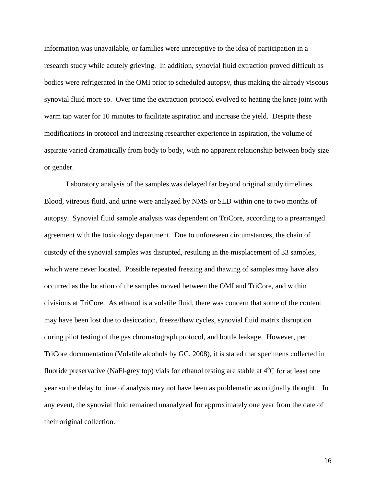information was unavailable, or families were unreceptive to the idea of participation in a research study while acutely grieving. In addition, synovial fluid extraction proved difficult as bodies were refrigerated in the OMI prior to scheduled autopsy, thus making the already viscous synovial fluid more so. Over time the extraction protocol evolved to heating the knee joint with warm tap water for 10 minutes to facilitate aspiration and increase the yield. Despite these modifications in protocol and increasing researcher experience in aspiration, the volume of aspirate varied dramatically from body to body, with no apparent relationship between body size or gender.

Laboratory analysis of the samples was delayed far beyond original study timelines. Blood, vitreous fluid, and urine were analyzed by NMS or SLD within one to two months of autopsy. Synovial fluid sample analysis was dependent on TriCore, according to a prearranged agreement with the toxicology department. Due to unforeseen circumstances, the chain of custody of the synovial samples was disrupted, resulting in the misplacement of 33 samples, which were never located. Possible repeated freezing and thawing of samples may have also occurred as the location of the samples moved between the OMI and TriCore, and within divisions at TriCore. As ethanol is a volatile fluid, there was concern that some of the content may have been lost due to desiccation, freeze/thaw cycles, synovial fluid matrix disruption during pilot testing of the gas chromatograph protocol, and bottle leakage. However, per TriCore documentation (Volatile alcohols by GC, 2008), it is stated that specimens collected in fluoride preservative (NaFl-grey top) vials for ethanol testing are stable at  $4^{\circ}C$  for at least one year so the delay to time of analysis may not have been as problematic as originally thought. In any event, the synovial fluid remained unanalyzed for approximately one year from the date of their original collection.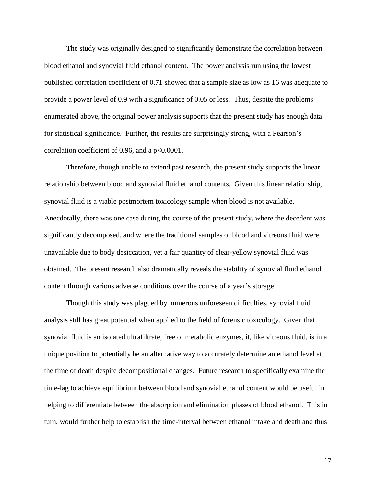The study was originally designed to significantly demonstrate the correlation between blood ethanol and synovial fluid ethanol content. The power analysis run using the lowest published correlation coefficient of 0.71 showed that a sample size as low as 16 was adequate to provide a power level of 0.9 with a significance of 0.05 or less. Thus, despite the problems enumerated above, the original power analysis supports that the present study has enough data for statistical significance. Further, the results are surprisingly strong, with a Pearson's correlation coefficient of 0.96, and a p<0.0001.

Therefore, though unable to extend past research, the present study supports the linear relationship between blood and synovial fluid ethanol contents. Given this linear relationship, synovial fluid is a viable postmortem toxicology sample when blood is not available. Anecdotally, there was one case during the course of the present study, where the decedent was significantly decomposed, and where the traditional samples of blood and vitreous fluid were unavailable due to body desiccation, yet a fair quantity of clear-yellow synovial fluid was obtained. The present research also dramatically reveals the stability of synovial fluid ethanol content through various adverse conditions over the course of a year's storage.

Though this study was plagued by numerous unforeseen difficulties, synovial fluid analysis still has great potential when applied to the field of forensic toxicology. Given that synovial fluid is an isolated ultrafiltrate, free of metabolic enzymes, it, like vitreous fluid, is in a unique position to potentially be an alternative way to accurately determine an ethanol level at the time of death despite decompositional changes. Future research to specifically examine the time-lag to achieve equilibrium between blood and synovial ethanol content would be useful in helping to differentiate between the absorption and elimination phases of blood ethanol. This in turn, would further help to establish the time-interval between ethanol intake and death and thus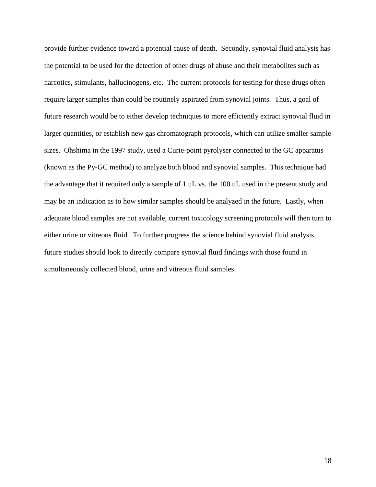provide further evidence toward a potential cause of death. Secondly, synovial fluid analysis has the potential to be used for the detection of other drugs of abuse and their metabolites such as narcotics, stimulants, hallucinogens, etc. The current protocols for testing for these drugs often require larger samples than could be routinely aspirated from synovial joints. Thus, a goal of future research would be to either develop techniques to more efficiently extract synovial fluid in larger quantities, or establish new gas chromatograph protocols, which can utilize smaller sample sizes. Ohshima in the 1997 study, used a Curie-point pyrolyser connected to the GC apparatus (known as the Py-GC method) to analyze both blood and synovial samples. This technique had the advantage that it required only a sample of 1 uL vs. the 100 uL used in the present study and may be an indication as to how similar samples should be analyzed in the future. Lastly, when adequate blood samples are not available, current toxicology screening protocols will then turn to either urine or vitreous fluid. To further progress the science behind synovial fluid analysis, future studies should look to directly compare synovial fluid findings with those found in simultaneously collected blood, urine and vitreous fluid samples.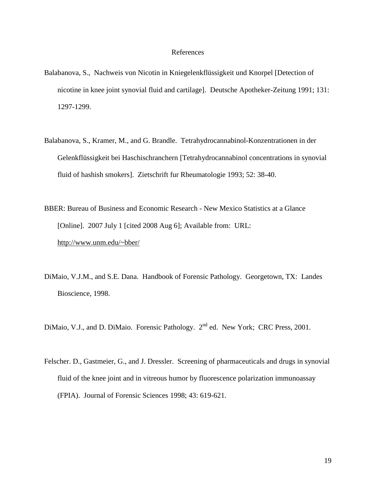# References

- Balabanova, S., Nachweis von Nicotin in Kniegelenkflüssigkeit und Knorpel [Detection of nicotine in knee joint synovial fluid and cartilage]. Deutsche Apotheker-Zeitung 1991; 131: 1297-1299.
- Balabanova, S., Kramer, M., and G. Brandle. Tetrahydrocannabinol-Konzentrationen in der Gelenkflüssigkeit bei Haschischranchern [Tetrahydrocannabinol concentrations in synovial fluid of hashish smokers]. Zietschrift fur Rheumatologie 1993; 52: 38-40.
- BBER: Bureau of Business and Economic Research New Mexico Statistics at a Glance [Online]. 2007 July 1 [cited 2008 Aug 6]; Available from: URL: http://www.unm.edu/~bber/
- DiMaio, V.J.M., and S.E. Dana. Handbook of Forensic Pathology. Georgetown, TX: Landes Bioscience, 1998.
- DiMaio, V.J., and D. DiMaio. Forensic Pathology. 2<sup>nd</sup> ed. New York; CRC Press, 2001.
- Felscher. D., Gastmeier, G., and J. Dressler. Screening of pharmaceuticals and drugs in synovial fluid of the knee joint and in vitreous humor by fluorescence polarization immunoassay (FPIA). Journal of Forensic Sciences 1998; 43: 619-621.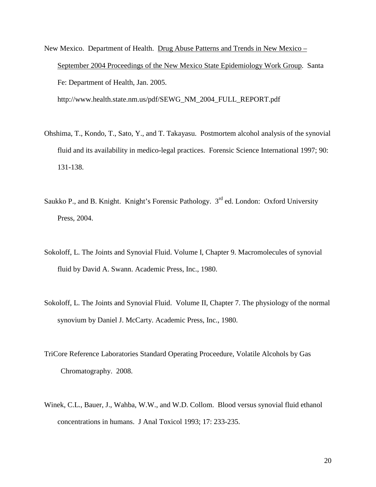- New Mexico. Department of Health. Drug Abuse Patterns and Trends in New Mexico September 2004 Proceedings of the New Mexico State Epidemiology Work Group. Santa Fe: Department of Health, Jan. 2005. http://www.health.state.nm.us/pdf/SEWG\_NM\_2004\_FULL\_REPORT.pdf
- Ohshima, T., Kondo, T., Sato, Y., and T. Takayasu. Postmortem alcohol analysis of the synovial fluid and its availability in medico-legal practices. Forensic Science International 1997; 90: 131-138.
- Saukko P., and B. Knight. Knight's Forensic Pathology. 3<sup>rd</sup> ed. London: Oxford University Press, 2004.
- Sokoloff, L. The Joints and Synovial Fluid. Volume I, Chapter 9. Macromolecules of synovial fluid by David A. Swann. Academic Press, Inc., 1980.
- Sokoloff, L. The Joints and Synovial Fluid. Volume II, Chapter 7. The physiology of the normal synovium by Daniel J. McCarty. Academic Press, Inc., 1980.
- TriCore Reference Laboratories Standard Operating Proceedure, Volatile Alcohols by Gas Chromatography. 2008.
- Winek, C.L., Bauer, J., Wahba, W.W., and W.D. Collom. Blood versus synovial fluid ethanol concentrations in humans. J Anal Toxicol 1993; 17: 233-235.